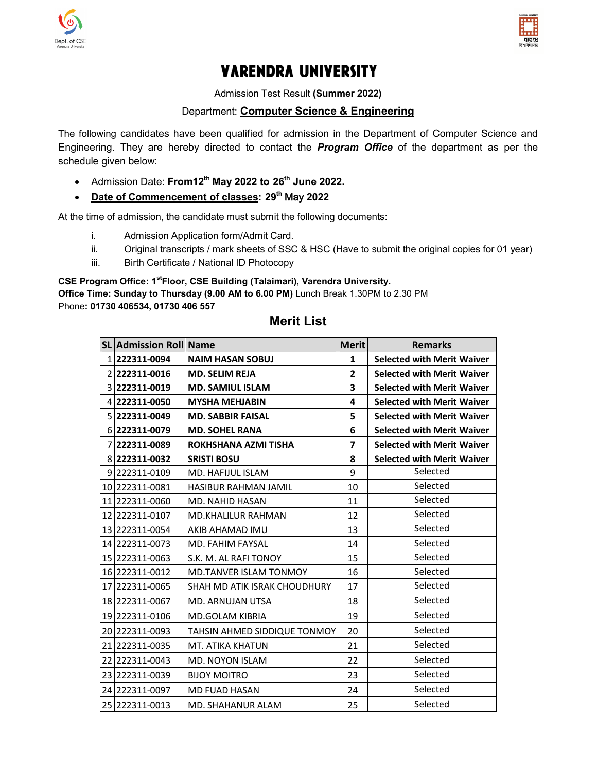



# **VARENDRA UNIVERSITY**

Admission Test Result **(Summer 2022)**

# Department: **Computer Science & Engineering**

The following candidates have been qualified for admission in the Department of Computer Science and The following candidates have been qualified for admission in the Department of Computer Science and<br>Engineering. They are hereby directed to contact the *Program Office* of the department as per the schedule given below:

- Admission Date: **From12th May 2022 to 26th June 2022.**
- **Date of Commencement of classes classes: 29th** May **2022**

At the time of admission, the candidate must submit the following documents:

- me of admission, the candidate must submit the<br>i. Admission Application form/Admit Card.
- ii.  $\qquad$  Original transcripts / mark sheets of SSC & HSC (Have to submit the original copies for 01 year)
- iii. Birth Certificate / National ID Photocopy Birth Certificate / National ID Photocopy

### CSE Program Office: 1<sup>st</sup>Floor, CSE Building (Talaimari), Varendra University.

**Office Time: Sunday to Thursday (9.00 AM to 6.00 PM)**  Lunch Break 1.30PM to 2.30 PM Phone**: 01730 406534, 01730 406 557**

| <b>SL Admission Roll Name</b> |                                     | <b>Merit</b>   | <b>Remarks</b>                    |
|-------------------------------|-------------------------------------|----------------|-----------------------------------|
| 1 222311-0094                 | <b>NAIM HASAN SOBUJ</b>             | 1              | <b>Selected with Merit Waiver</b> |
| 2 222311-0016                 | <b>MD. SELIM REJA</b>               | $\mathbf{2}$   | <b>Selected with Merit Waiver</b> |
| 3 222311-0019                 | <b>MD. SAMIUL ISLAM</b>             | 3              | <b>Selected with Merit Waiver</b> |
| 4 222311-0050                 | <b>MYSHA MEHJABIN</b>               | 4              | <b>Selected with Merit Waiver</b> |
| 5 222311-0049                 | <b>MD. SABBIR FAISAL</b>            | 5              | <b>Selected with Merit Waiver</b> |
| 6 222311-0079                 | <b>MD. SOHEL RANA</b>               | 6              | <b>Selected with Merit Waiver</b> |
| 222311-0089                   | ROKHSHANA AZMI TISHA                | $\overline{7}$ | <b>Selected with Merit Waiver</b> |
| 8 222311-0032                 | <b>SRISTI BOSU</b>                  | 8              | <b>Selected with Merit Waiver</b> |
| 9 222311-0109                 | MD. HAFIJUL ISLAM                   | 9              | Selected                          |
| 10 222311-0081                | <b>HASIBUR RAHMAN JAMIL</b>         | 10             | Selected                          |
| 11 222311-0060                | <b>MD. NAHID HASAN</b>              | 11             | Selected                          |
| 12 222311-0107                | <b>MD.KHALILUR RAHMAN</b>           | 12             | Selected                          |
| 13 222311-0054                | AKIB AHAMAD IMU                     | 13             | Selected                          |
| 14 222311-0073                | <b>MD. FAHIM FAYSAL</b>             | 14             | Selected                          |
| 15 222311-0063                | S.K. M. AL RAFI TONOY               | 15             | Selected                          |
| 16 222311-0012                | MD.TANVER ISLAM TONMOY              | 16             | Selected                          |
| 17 222311-0065                | SHAH MD ATIK ISRAK CHOUDHURY        | 17             | Selected                          |
| 18 222311-0067                | MD. ARNUJAN UTSA                    | 18             | Selected                          |
| 19 222311-0106                | <b>MD.GOLAM KIBRIA</b>              | 19             | Selected                          |
| 20 222311-0093                | <b>TAHSIN AHMED SIDDIQUE TONMOY</b> | 20             | Selected                          |
| 21 222311-0035                | MT. ATIKA KHATUN                    | 21             | Selected                          |
| 22 222311-0043                | <b>MD. NOYON ISLAM</b>              | 22             | Selected                          |
| 23 222311-0039                | <b>BIJOY MOITRO</b>                 | 23             | Selected                          |
| 24 222311-0097                | <b>MD FUAD HASAN</b>                | 24             | Selected                          |
| 25 222311-0013                | MD. SHAHANUR ALAM                   | 25             | Selected                          |

# **Merit List**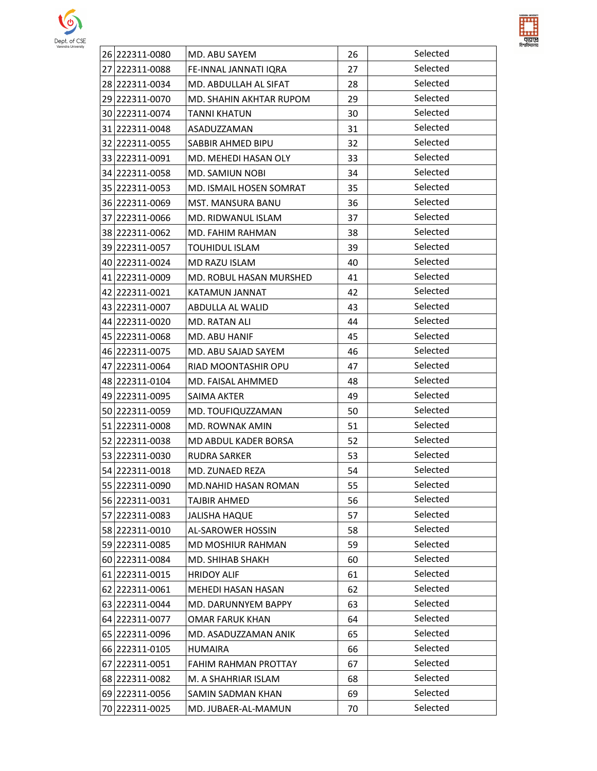



| varendra University | 26 222311-0080 | MD. ABU SAYEM           | 26 | Selected |
|---------------------|----------------|-------------------------|----|----------|
|                     | 27 222311-0088 | FE-INNAL JANNATI IQRA   | 27 | Selected |
|                     | 28 222311-0034 | MD. ABDULLAH AL SIFAT   | 28 | Selected |
|                     | 29 222311-0070 | MD. SHAHIN AKHTAR RUPOM | 29 | Selected |
|                     | 30 222311-0074 | <b>TANNI KHATUN</b>     | 30 | Selected |
|                     | 31 222311-0048 | ASADUZZAMAN             | 31 | Selected |
|                     | 32 222311-0055 | SABBIR AHMED BIPU       | 32 | Selected |
|                     | 33 222311-0091 | MD. MEHEDI HASAN OLY    | 33 | Selected |
|                     | 34 222311-0058 | MD. SAMIUN NOBI         | 34 | Selected |
|                     | 35 222311-0053 | MD. ISMAIL HOSEN SOMRAT | 35 | Selected |
|                     | 36 222311-0069 | MST. MANSURA BANU       | 36 | Selected |
|                     | 37 222311-0066 | MD. RIDWANUL ISLAM      | 37 | Selected |
|                     | 38 222311-0062 | MD. FAHIM RAHMAN        | 38 | Selected |
|                     | 39 222311-0057 | <b>TOUHIDUL ISLAM</b>   | 39 | Selected |
|                     | 40 222311-0024 | MD RAZU ISLAM           | 40 | Selected |
|                     | 41 222311-0009 | MD. ROBUL HASAN MURSHED | 41 | Selected |
|                     | 42 222311-0021 | KATAMUN JANNAT          | 42 | Selected |
|                     | 43 222311-0007 | ABDULLA AL WALID        | 43 | Selected |
|                     | 44 222311-0020 | MD. RATAN ALI           | 44 | Selected |
|                     | 45 222311-0068 | MD. ABU HANIF           | 45 | Selected |
|                     | 46 222311-0075 | MD. ABU SAJAD SAYEM     | 46 | Selected |
|                     | 47 222311-0064 | RIAD MOONTASHIR OPU     | 47 | Selected |
|                     | 48 222311-0104 | MD. FAISAL AHMMED       | 48 | Selected |
|                     | 49 222311-0095 | SAIMA AKTER             | 49 | Selected |
|                     | 50 222311-0059 | MD. TOUFIQUZZAMAN       | 50 | Selected |
|                     | 51 222311-0008 | <b>MD. ROWNAK AMIN</b>  | 51 | Selected |
|                     | 52 222311-0038 | MD ABDUL KADER BORSA    | 52 | Selected |
|                     | 53 222311-0030 | <b>RUDRA SARKER</b>     | 53 | Selected |
|                     | 54 222311-0018 | MD. ZUNAED REZA         | 54 | Selected |
|                     | 55 222311-0090 | MD.NAHID HASAN ROMAN    | 55 | Selected |
|                     | 56 222311-0031 | <b>TAJBIR AHMED</b>     | 56 | Selected |
|                     | 57 222311-0083 | <b>JALISHA HAQUE</b>    | 57 | Selected |
|                     | 58 222311-0010 | AL-SAROWER HOSSIN       | 58 | Selected |
|                     | 59 222311-0085 | MD MOSHIUR RAHMAN       | 59 | Selected |
|                     | 60 222311-0084 | MD. SHIHAB SHAKH        | 60 | Selected |
|                     | 61 222311-0015 | <b>HRIDOY ALIF</b>      | 61 | Selected |
|                     | 62 222311-0061 | MEHEDI HASAN HASAN      | 62 | Selected |
|                     | 63 222311-0044 | MD. DARUNNYEM BAPPY     | 63 | Selected |
|                     | 64 222311-0077 | <b>OMAR FARUK KHAN</b>  | 64 | Selected |
|                     | 65 222311-0096 | MD. ASADUZZAMAN ANIK    | 65 | Selected |
|                     | 66 222311-0105 | <b>HUMAIRA</b>          | 66 | Selected |
|                     | 67 222311-0051 | FAHIM RAHMAN PROTTAY    | 67 | Selected |
|                     | 68 222311-0082 | M. A SHAHRIAR ISLAM     | 68 | Selected |
|                     | 69 222311-0056 | SAMIN SADMAN KHAN       | 69 | Selected |
|                     | 70 222311-0025 | MD. JUBAER-AL-MAMUN     | 70 | Selected |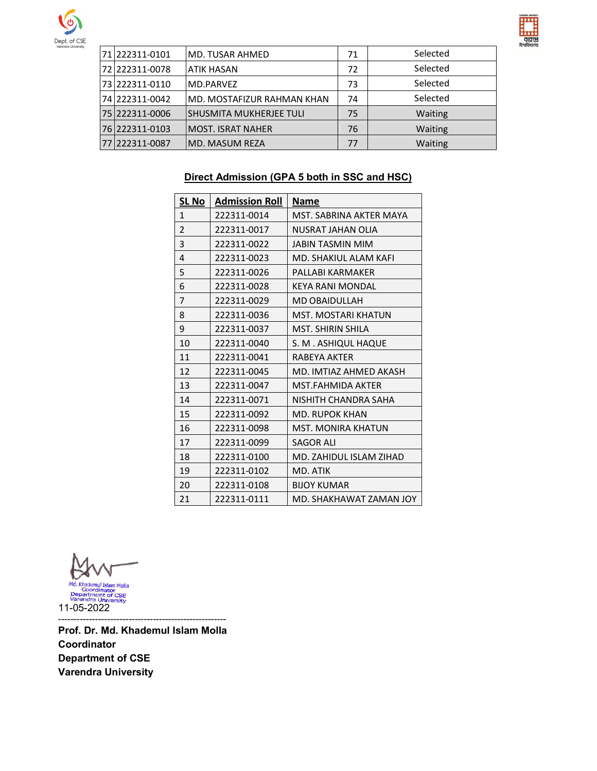



| Varendra University | 71 222311-0101 | MD. TUSAR AHMED                | 71 | Selected |
|---------------------|----------------|--------------------------------|----|----------|
|                     | 72 222311-0078 | <b>ATIK HASAN</b>              | 72 | Selected |
|                     | 73 222311-0110 | MD.PARVEZ                      | 73 | Selected |
|                     | 74 222311-0042 | MD. MOSTAFIZUR RAHMAN KHAN     | 74 | Selected |
|                     | 75 222311-0006 | <b>SHUSMITA MUKHERJEE TULI</b> | 75 | Waiting  |
|                     | 76 222311-0103 | <b>MOST. ISRAT NAHER</b>       | 76 | Waiting  |
|                     | 77 222311-0087 | MD. MASUM REZA                 | 77 | Waiting  |

# **Direct Admission (GPA 5 both in SSC and HSC)**

| <b>SL No</b>   | <b>Admission Roll</b> | <b>Name</b>                |
|----------------|-----------------------|----------------------------|
| 1              | 222311-0014           | MST. SABRINA AKTER MAYA    |
| 2              | 222311-0017           | NUSRAT JAHAN OLIA          |
| 3              | 222311-0022           | <b>JABIN TASMIN MIM</b>    |
| $\overline{4}$ | 222311-0023           | MD. SHAKIUL ALAM KAFI      |
| 5              | 222311-0026           | PALLABI KARMAKER           |
| 6              | 222311-0028           | KEYA RANI MONDAL           |
| 7              | 222311-0029           | <b>MD OBAIDULLAH</b>       |
| 8              | 222311-0036           | <b>MST. MOSTARI KHATUN</b> |
| 9              | 222311-0037           | <b>MST. SHIRIN SHILA</b>   |
| 10             | 222311-0040           | S. M. ASHIQUL HAQUE        |
| 11             | 222311-0041           | RABEYA AKTER               |
| 12             | 222311-0045           | MD. IMTIAZ AHMED AKASH     |
| 13             | 222311-0047           | MST.FAHMIDA AKTER          |
| 14             | 222311-0071           | NISHITH CHANDRA SAHA       |
| 15             | 222311-0092           | <b>MD. RUPOK KHAN</b>      |
| 16             | 222311-0098           | MST. MONIRA KHATUN         |
| 17             | 222311-0099           | <b>SAGOR ALI</b>           |
| 18             | 222311-0100           | MD. ZAHIDUL ISLAM ZIHAD    |
| 19             | 222311-0102           | MD. ATIK                   |
| 20             | 222311-0108           | <b>BIJOY KUMAR</b>         |
| 21             | 222311-0111           | MD. SHAKHAWAT ZAMAN JOY    |

Md. Khademul Islam Molla<br>Coordinator<br>Department of CSE<br>Varendra University<br>11-05-2022

------------------------------------------------------- **Prof. Dr. Md. Khademul Islam Molla Coordinator Department of CSE Varendra University**